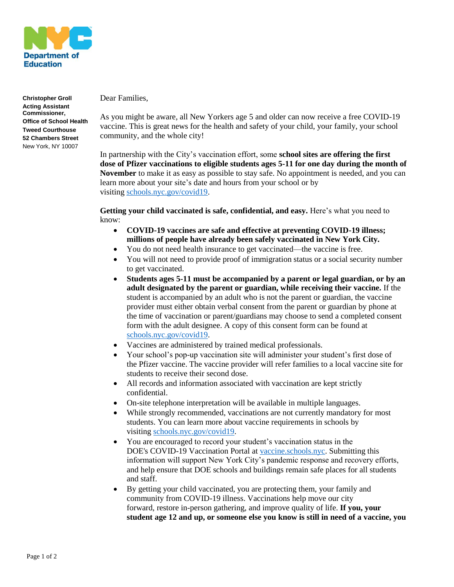

**Christopher Groll Acting Assistant Commissioner, Office of School Health Tweed Courthouse 52 Chambers Street** New York, NY 10007

Dear Families,

As you might be aware, all New Yorkers age 5 and older can now receive a free COVID-19 vaccine. This is great news for the health and safety of your child, your family, your school community, and the whole city!

In partnership with the City's vaccination effort, some **school sites are offering the first dose of Pfizer vaccinations to eligible students ages 5-11 for one day during the month of November** to make it as easy as possible to stay safe. No appointment is needed, and you can learn more about your site's date and hours from your school or by visiting [schools.nyc.gov/covid19.](https://www.schools.nyc.gov/covid19)

**Getting your child vaccinated is safe, confidential, and easy.** Here's what you need to know:

- **COVID-19 vaccines are safe and effective at preventing COVID-19 illness; millions of people have already been safely vaccinated in New York City.**
- You do not need health insurance to get vaccinated—the vaccine is free.
- You will not need to provide proof of immigration status or a social security number to get vaccinated.
- **Students ages 5-11 must be accompanied by a parent or legal guardian, or by an adult designated by the parent or guardian, while receiving their vaccine.** If the student is accompanied by an adult who is not the parent or guardian, the vaccine provider must either obtain verbal consent from the parent or guardian by phone at the time of vaccination or parent/guardians may choose to send a completed consent form with the adult designee. A copy of this consent form can be found at [schools.nyc.gov/covid19.](https://www.schools.nyc.gov/covid19)
- Vaccines are administered by trained medical professionals.
- Your school's pop-up vaccination site will administer your student's first dose of the Pfizer vaccine. The vaccine provider will refer families to a local vaccine site for students to receive their second dose.
- All records and information associated with vaccination are kept strictly confidential.
- On-site telephone interpretation will be available in multiple languages.
- While strongly recommended, vaccinations are not currently mandatory for most students. You can learn more about vaccine requirements in schools by visiting [schools.nyc.gov/covid19.](https://www.schools.nyc.gov/covid19)
- You are encouraged to record your student's vaccination status in the DOE's COVID-19 Vaccination Portal at [vaccine.schools.nyc.](https://vaccine.schools.nyc/) Submitting this information will support New York City's pandemic response and recovery efforts, and help ensure that DOE schools and buildings remain safe places for all students and staff.
- By getting your child vaccinated, you are protecting them, your family and community from COVID-19 illness. Vaccinations help move our city forward, restore in-person gathering, and improve quality of life. **If you, your student age 12 and up, or someone else you know is still in need of a vaccine, you**